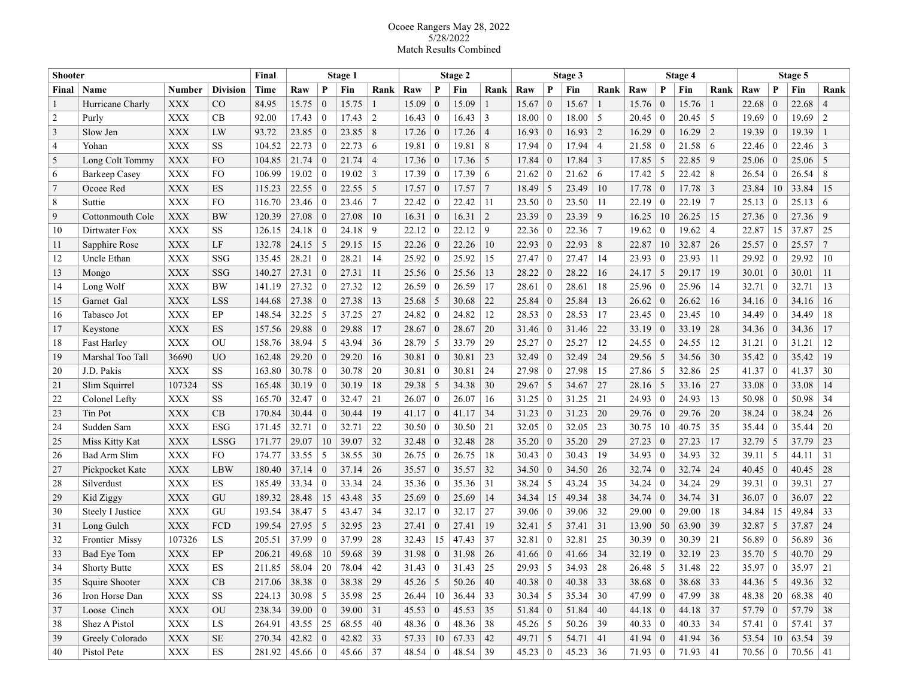## Ocoee Rangers May 28, 2022 5/28/2022 Match Results Combined

| <b>Shooter</b>  |                      | Final          | Stage 1         |                  |                   |                | Stage 2      |                  |                |                  | Stage 3         |                  |                |                  | Stage 4    |                    |                |                  | Stage 5    |                  |                |                  |                 |                |
|-----------------|----------------------|----------------|-----------------|------------------|-------------------|----------------|--------------|------------------|----------------|------------------|-----------------|------------------|----------------|------------------|------------|--------------------|----------------|------------------|------------|------------------|----------------|------------------|-----------------|----------------|
| Final           | Name                 | <b>Number</b>  | <b>Division</b> | Time             | Raw               | P              | Fin          | Rank             | Raw            | P                | Fin             | Rank             | Raw            | P                | Fin        | Rank               | Raw            | P                | Fin        | Rank             | Raw            | P                | Fin             | Rank           |
|                 | Hurricane Charly     | XXX            | CO              | 84.95            | 15.75             | $\Omega$       | 15.75        |                  | 15.09          | $\mathbf{0}$     | 15.09           |                  | 15.67          | $\overline{0}$   | 15.67      |                    | 15.76          | $\theta$         | 15.76      |                  | 22.68          | $\theta$         | 22.68           | $\overline{4}$ |
| $\overline{2}$  | Purly                | <b>XXX</b>     | CВ              | 92.00            | 17.43             | $\bf{0}$       | 17.43        | $\overline{2}$   | 16.43          | $\mathbf{0}$     | 16.43           | 3                | 18.00          | $\Omega$         | 18.00      | -5                 | 20.45          | $\mathbf{0}$     | 20.45      | 5                | 19.69          | $\mathbf{0}$     | 19.69           | $\overline{2}$ |
| $\overline{3}$  | Slow Jen             | <b>XXX</b>     | LW              | 93.72            | 23.85             | $\bf{0}$       | 23.85        | 8                | 17.26          | $\mathbf{0}$     | 17.26           | $\overline{4}$   | 16.93          | $\boldsymbol{0}$ | 16.93      | $\overline{2}$     | 16.29          | $\boldsymbol{0}$ | 16.29      | 2                | 19.39          | $\mathbf{0}$     | 19.39           |                |
| $\overline{4}$  | Yohan                | <b>XXX</b>     | <b>SS</b>       | 104.52           | 22.73             | $\bf{0}$       | 22.73        | 6                | 19.81          | $\bf{0}$         | 19.81           | 8                | 17.94          | $\bf{0}$         | 17.94      | $\overline{4}$     | 21.58          | $\theta$         | 21.58      | -6               | 22.46          | $\bf{0}$         | 22.46           | 3              |
| 5               | Long Colt Tommy      | <b>XXX</b>     | FO              | 104.85           | 21.74             | $\bf{0}$       | 21.74        | $\overline{4}$   | 17.36          | $\overline{0}$   | 17.36           | 5                | 17.84          | $\bf{0}$         | 17.84      | 3                  | 17.85          | 5                | 22.85      | 9                | 25.06          | $\bf{0}$         | 25.06           | 5              |
| 6               | <b>Barkeep Casey</b> | <b>XXX</b>     | <b>FO</b>       | 106.99           | 19.02             | $\bf{0}$       | 19.02        | 3                | 17.39          | $\mathbf{0}$     | 17.39           | 6                | 21.62          | $\bf{0}$         | 21.62      | -6                 | 17.42          | 5                | 22.42      | 8                | 26.54          | $\theta$         | 26.54           | 8              |
| $7\phantom{.0}$ | Ocoee Red            | <b>XXX</b>     | ES              | 115.23           | 22.55             | $\overline{0}$ | 22.55        | 5                | 17.57          | $\mathbf{0}$     | 17.57           | $\tau$           | 18.49          | 5                | 23.49      | 10                 | 17.78          | $\boldsymbol{0}$ | 17.78      | $\overline{3}$   | 23.84          | 10               | 33.84           | 15             |
| 8               | Suttie               | <b>XXX</b>     | <b>FO</b>       | 116.70           | 23.46             | $\bf{0}$       | 23.46        | 7                | 22.42          | $\bf{0}$         | 22.42           | 11               | 23.50          | -0               | 23.50      | -11                | 22.19          | $\boldsymbol{0}$ | 22.19      | $\tau$           | 25.13          | $\theta$         | 25.13           | 6              |
| 9               | Cottonmouth Cole     | <b>XXX</b>     | <b>BW</b>       | 120.39           | 27.08             | $\bf{0}$       | 27.08        | 10               | 16.31          | $\mathbf{0}$     | 16.31           | $\overline{2}$   | 23.39          | $\bf{0}$         | 23.39      | 9                  | 16.25          | 10               | 26.25      | 15               | 27.36          | $\bf{0}$         | 27.36           | 9              |
| 10              | Dirtwater Fox        | <b>XXX</b>     | SS              | 126.15           | 24.18             | $\bf{0}$       | 24.18        | 9                | 22.12          | $\bf{0}$         | 22.12           | 9                | 22.36          | -0               | 22.36      | $7\phantom{.0}$    | 19.62          | $\boldsymbol{0}$ | 19.62      | 4                | 22.87          | 15               | 37.87           | 25             |
| 11              | Sapphire Rose        | <b>XXX</b>     | LF              | 132.78           | 24.15             | -5             | 29.15        | 15               | 22.26          | $\mathbf{0}$     | 22.26           | 10               | 22.93          | $\boldsymbol{0}$ | 22.93      | 8                  | 22.87          | 10               | 32.87      | 26               | 25.57          | $\mathbf{0}$     | 25.57           | $\overline{7}$ |
| 12              | Uncle Ethan          | <b>XXX</b>     | SSG             | 135.45           | 28.21             | $\bf{0}$       | 28.21        | 14               | 25.92          | $\overline{0}$   | 25.92           | 15               | 27.47          | $\bf{0}$         | 27.47      | 14                 | 23.93          | $\mathbf{0}$     | 23.93      | 11               | 29.92          | $\theta$         | 29.92           | 10             |
| 13              | Mongo                | <b>XXX</b>     | SSG             | 140.27           | 27.31             | $\overline{0}$ | 27.31        | 11               | 25.56          | $\mathbf{0}$     | 25.56           | 13               | 28.22          | $\overline{0}$   | 28.22      | 16                 | 24.17          | 5                | 29.17      | 19               | 30.01          | $\overline{0}$   | 30.01           | 11             |
| 14              | Long Wolf            | <b>XXX</b>     | BW              | 141.19           | 27.32             | $\Omega$       | 27.32        | 12               | 26.59          | $\mathbf{0}$     | 26.59           | 17               | 28.61          | $\overline{0}$   | 28.61      | 18                 | 25.96          | $\mathbf{0}$     | 25.96      | 14               | 32.71          | $\bf{0}$         | 32.71           | 13             |
| 15              | Garnet Gal           | <b>XXX</b>     | LSS             | 144.68           | 27.38             | $\Omega$       | 27.38        | 13               | 25.68          | 5                | 30.68           | 22               | 25.84          | $\overline{0}$   | 25.84      | 13                 | 26.62          | $\boldsymbol{0}$ | 26.62      | 16               | 34.16          | $\mathbf{0}$     | 34.16           | 16             |
| 16              | Tabasco Jot          | <b>XXX</b>     | EP              | 148.54           | 32.25             | 5              | 37.25        | 27               | 24.82          | $\mathbf{0}$     | 24.82           | 12               | 28.53          | $\Omega$         | 28.53      | 17                 | 23.45          | $\mathbf{0}$     | 23.45      | 10               | 34.49          | $\theta$         | 34.49           | 18             |
| 17              | Keystone             | <b>XXX</b>     | ES              | 157.56           | 29.88             | $\theta$       | 29.88        | 17               | 28.67          | $\boldsymbol{0}$ | 28.67           | 20               | 31.46          | $\boldsymbol{0}$ | 31.46      | 22                 | 33.19          | $\boldsymbol{0}$ | 33.19      | 28               | 34.36          | $\boldsymbol{0}$ | 34.36           | 17             |
| 18              | <b>Fast Harley</b>   | <b>XXX</b>     | OU              | 158.76           | 38.94             | 5              | 43.94        | 36               | 28.79          | 5                | 33.79           | 29               | 25.27          | $\boldsymbol{0}$ | 25.27      | 12                 | 24.55          | $\boldsymbol{0}$ | 24.55      | 12               | 31.21          | $\boldsymbol{0}$ | 31.21           | 12             |
| 19              | Marshal Too Tall     | 36690          | U <sub>O</sub>  | 162.48           | 29.20             | $\theta$       | 29.20        | 16               | 30.81          | $\mathbf{0}$     | 30.81           | 23               | 32.49          | $\boldsymbol{0}$ | 32.49      | 24                 | 29.56          | 5                | 34.56      | 30               | 35.42          | $\boldsymbol{0}$ | 35.42           | 19             |
| 20              | J.D. Pakis           | <b>XXX</b>     | SS              | 163.80           | 30.78             | $\bf{0}$       | 30.78        | 20               | 30.81          | $\overline{0}$   | 30.81           | 24               | 27.98          | $\overline{0}$   | 27.98      | 15                 | 27.86          | 5                | 32.86      | 25               | 41.37          | $\mathbf{0}$     | 41.37           | 30             |
| 21              | Slim Squirrel        | 107324         | <b>SS</b>       | 165.48           | 30.19             | $\bf{0}$       | 30.19        | 18               | 29.38          | 5                | 34.38           | 30               | $29.67$ 5      |                  | 34.67      | 27                 | 28.16          | 5                | 33.16      | 27               | 33.08          | $\mid 0$         | 33.08           | 14             |
| 22              | Colonel Lefty        | <b>XXX</b>     | <b>SS</b>       | 165.70           | 32.47             | $\bf{0}$       | 32.47        | 21               | 26.07          | $\boldsymbol{0}$ | 26.07           | 16               | $31.25 \mid 0$ |                  | 31.25      | 21                 | 24.93          | $\boldsymbol{0}$ | 24.93      | 13               | 50.98          | $\bf{0}$         | 50.98           | 34             |
| 23              | Tin Pot              | <b>XXX</b>     | CB              | 170.84           | 30.44             | $\overline{0}$ | 30.44        | 19               | 41.17          | $\mathbf{0}$     | 41.17           | 34               | 31.23          | $\bf{0}$         | 31.23      | 20                 | 29.76          | $\boldsymbol{0}$ | 29.76      | 20               | 38.24          | $\bf{0}$         | 38.24           | 26             |
| 24              | Sudden Sam           | <b>XXX</b>     | <b>ESG</b>      | 171.45           | 32.71             | $\bf{0}$       | 32.71        | 22               | 30.50          | $\bf{0}$         | 30.50           | 21               | 32.05          | $\boldsymbol{0}$ | 32.05      | 23                 | 30.75          | 10               | 40.75      | 35               | 35.44          | $\bf{0}$         | 35.44           | 20             |
| 25              | Miss Kitty Kat       | <b>XXX</b>     | LSSG            | 171.77           | 29.07             | 10             | 39.07        | 32               | 32.48          | $\mathbf{0}$     | 32.48           | 28               | 35.20          | $\bf{0}$         | 35.20      | 29                 | 27.23          | $\boldsymbol{0}$ | 27.23      | 17               | 32.79          | -5               | 37.79           | 23             |
| 26              | Bad Arm Slim         | <b>XXX</b>     | <b>FO</b>       | 174.77           | 33.55             | 5              | 38.55        | 30               | 26.75          | $\overline{0}$   | 26.75           | 18               | 30.43          | $\bf{0}$         | 30.43      | 19                 | 34.93          | $\mathbf{0}$     | 34.93      | 32               | 39.11          | 5                | 44.11           | 31             |
| 27              | Pickpocket Kate      | <b>XXX</b>     | LBW             | 180.40           | 37.14             | $\overline{0}$ | 37.14        | 26               | 35.57          | $\overline{0}$   | 35.57           | 32               | 34.50          | $\overline{0}$   | 34.50      | 26                 | 32.74          | $\mathbf{0}$     | 32.74      | 24               | 40.45          | $\mathbf{0}$     | 40.45           | 28             |
| 28              | Silverdust           | <b>XXX</b>     | ES              | 185.49           | 33.34             | $\overline{0}$ | 33.34        | 24               | 35.36          | $\overline{0}$   | 35.36           | 31               | 38.24          | 5                | 43.24      | 35                 | 34.24          | $\mathbf{0}$     | 34.24      | 29               | 39.31          | $\mathbf{0}$     | 39.31           | 27             |
| 29              | Kid Ziggy            | <b>XXX</b>     | GU              | 189.32           | 28.48             | 15             | 43.48        | 35               | 25.69          | $\mathbf{0}$     | 25.69           | 14               | 34.34          | 15               | 49.34      | 38                 | 34.74          | $\boldsymbol{0}$ | 34.74      | 31               | 36.07          | $\theta$         | 36.07           | 22             |
| 30              | Steely I Justice     | <b>XXX</b>     | GU              | 193.54           | 38.47             | 5              | 43.47        | 34               | 32.17          | $\mathbf{0}$     | 32.17           | 27               | 39.06          | $\Omega$         | 39.06      | 32                 | 29.00          | $\overline{0}$   | 29.00      | 18               | 34.84          | 15               | 49.84           | 33             |
| 31              | Long Gulch           | <b>XXX</b>     | FCD             | 199.54           | 27.95             | 5              | 32.95        | 23               | 27.41          | $\mathbf{0}$     | 27.41           | 19               | 32.41          | 5                | 37.41      | $\vert 31 \vert$   | 13.90          | 50               | 63.90      | 39               | 32.87          | 5                | 37.87           | 24             |
| 32              | Frontier Missy       | 107326         | LS              | 205.51           | 37.99             | $\bf{0}$       | 37.99        | 28               | 32.43          | 15               | 47.43           | 37               | 32.81          | $\theta$         | 32.81      | 25                 | 30.39          | $\boldsymbol{0}$ | 30.39      | 21               | 56.89          | $\bf{0}$         | 56.89           | 36             |
| 33              | <b>Bad Eve Tom</b>   | <b>XXX</b>     | EP              | 206.21           | 49.68             | 10             | 59.68        | 39               | 31.98          | $\mathbf{0}$     | 31.98           | 26               | 41.66          | $\Omega$         | 41.66      | 34                 | 32.19          | $\boldsymbol{0}$ | 32.19      | 23               | 35.70          | 5                | 40.70           | 29             |
| 34              | <b>Shorty Butte</b>  | <b>XXX</b>     | ES              | 211.85           | 58.04             | 20             | 78.04        | 42               | 31.43          | $\mathbf{0}$     | 31.43           | 25               | 29.93          | 5                | 34.93      | 28                 | 26.48          | 5                | 31.48      | 22               | 35.97          | $\theta$         | 35.97           | 21             |
| 35              | Squire Shooter       | <b>XXX</b>     | CB              | $217.06$ 38.38 0 |                   |                | 38.38        | $\vert$ 29       | $45.26 \mid 5$ |                  | $50.26 \mid 40$ |                  | $40.38 \mid 0$ |                  | 40.38      | $\vert$ 33         | $38.68 \mid 0$ |                  | 38.68      | $\vert$ 33       | 44.36 5        |                  | 49.36 32        |                |
| 36              | Iron Horse Dan       | $\mathbf{XXX}$ | SS              | 224.13           | $30.98$ 5         |                | 35.98        | $\vert 25 \vert$ | 26.44          | 10               | 36.44           | 33               | $30.34$ 5      |                  | 35.34      | $\vert 30 \rangle$ | 47.99 0        |                  | 47.99      | 38               | $48.38$   20   |                  | 68.38           | $\mid 40 \mid$ |
| 37              | Loose Cinch          | $\mathbf{XXX}$ | OU              | 238.34           | 39.00 0           |                | 39.00        | $\vert 31 \vert$ | 45.53 0        |                  | 45.53           | $\vert 35 \vert$ | $51.84 \mid 0$ |                  | 51.84      | $\mid$ 40          | 44.18   0      |                  | 44.18      | 37               | 57.79   $0$    |                  | 57.79           | 38             |
| 38              | Shez A Pistol        | $\mathbf{XXX}$ | ${\rm LS}$      | 264.91           | 43.55   25        |                | $68.55$   40 |                  | 48.36 0        |                  | 48.36   38      |                  | $45.26$ 5      |                  | $50.26$ 39 |                    | 40.33 0        |                  | $40.33$ 34 |                  | $57.41 \mid 0$ |                  | $57.41$ 37      |                |
| 39              | Greely Colorado      | $\mathbf{XXX}$ | $\rm SE$        | 270.34           | 42.82   0         |                | 42.82 33     |                  | 57.33   10     |                  | 67.33           | 42               | 49.71   5      |                  | 54.71      | 41                 | $41.94 \mid 0$ |                  | 41.94      | $\vert 36 \vert$ | $53.54$   10   |                  | $63.54$ 39      |                |
| 40              | Pistol Pete          | $\mathbf{XXX}$ | ES              | 281.92           | $45.66 \,   \, 0$ |                | $45.66$   37 |                  | $48.54 \mid 0$ |                  | 48.54           | 39               | $45.23 \mid 0$ |                  | $45.23$ 36 |                    | $71.93 \mid 0$ |                  | $71.93$ 41 |                  | $70.56 \mid 0$ |                  | $70.56 \mid 41$ |                |